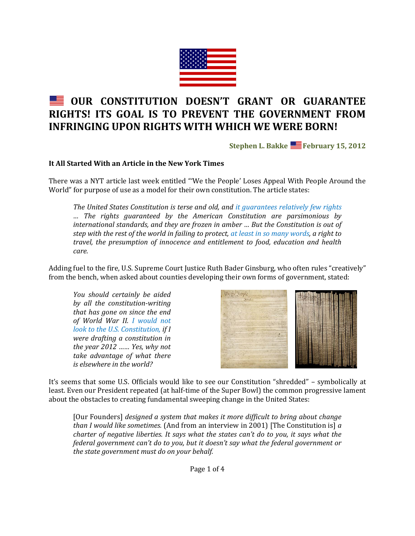

# **OUR CONSTITUTION DOESN'T GRANT OR GUARANTEE RIGHTS! ITS GOAL IS TO PREVENT THE GOVERNMENT FROM INFRINGING UPON RIGHTS WITH WHICH WE WERE BORN!**

**Stephen L. Bakke February 15, 2012**

# **It All Started With an Article in the New York Times**

There was a NYT article last week entitled "'We the People' Loses Appeal With People Around the World" for purpose of use as a model for their own constitution. The article states:

*The United States Constitution is terse and old, and it guarantees relatively few rights … The rights guaranteed by the American Constitution are parsimonious by international standards, and they are frozen in amber … But the Constitution is out of step with the rest of the world in failing to protect, at least in so many words, a right to travel, the presumption of innocence and entitlement to food, education and health care.*

Adding fuel to the fire, U.S. Supreme Court Justice Ruth Bader Ginsburg, who often rules "creatively" from the bench, when asked about counties developing their own forms of government, stated:

*You should certainly be aided by all the constitution-writing that has gone on since the end of World War II. I would not look to the U.S. Constitution, if I were drafting a constitution in the year 2012 …… Yes, why not take advantage of what there is elsewhere in the world?*



It's seems that some U.S. Officials would like to see our Constitution "shredded" – symbolically at least. Even our President repeated (at half-time of the Super Bowl) the common progressive lament about the obstacles to creating fundamental sweeping change in the United States:

[Our Founders] *designed a system that makes it more difficult to bring about change than I would like sometimes.* (And from an interview in 2001) [The Constitution is] *a charter of negative liberties. It says what the states can't do to you, it says what the federal government can't do to you, but it doesn't say what the federal government or the state government must do on your behalf.*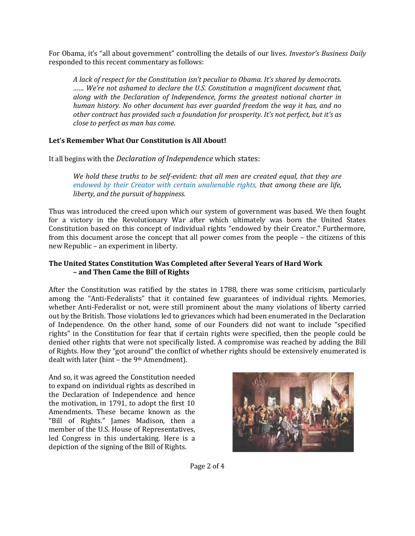For Obama, it's "all about government" controlling the details of our lives. *Investor's Business Daily* responded to this recent commentary as follows:

*A lack of respect for the Constitution isn't peculiar to Obama. It's shared by democrats. …… We're not ashamed to declare the U.S. Constitution a magnificent document that, along with the Declaration of Independence, forms the greatest national charter in human history. No other document has ever guarded freedom the way it has, and no other contract has provided such a foundation for prosperity. It's not perfect, but it's as close to perfect as man has come.*

# **Let's Remember What Our Constitution is All About!**

It all begins with the *Declaration of Independence* which states:

*We hold these truths to be self-evident: that all men are created equal, that they are endowed by their Creator with certain unalienable rights, that among these are life, liberty, and the pursuit of happiness.*

Thus was introduced the creed upon which our system of government was based. We then fought for a victory in the Revolutionary War after which ultimately was born the United States Constitution based on this concept of individual rights "endowed by their Creator." Furthermore, from this document arose the concept that all power comes from the people – the citizens of this new Republic – an experiment in liberty.

# **The United States Constitution Was Completed after Several Years of Hard Work – and Then Came the Bill of Rights**

After the Constitution was ratified by the states in 1788, there was some criticism, particularly among the "Anti-Federalists" that it contained few guarantees of individual rights. Memories, whether Anti-Federalist or not, were still prominent about the many violations of liberty carried out by the British. Those violations led to grievances which had been enumerated in the Declaration of Independence. On the other hand, some of our Founders did not want to include "specified rights" in the Constitution for fear that if certain rights were specified, then the people could be denied other rights that were not specifically listed. A compromise was reached by adding the Bill of Rights. How they "got around" the conflict of whether rights should be extensively enumerated is dealt with later (hint - the 9<sup>th</sup> Amendment).

And so, it was agreed the Constitution needed to expand on individual rights as described in the Declaration of Independence and hence the motivation, in 1791, to adopt the first 10 Amendments. These became known as the "Bill of Rights." James Madison, then a member of the U.S. House of Representatives, led Congress in this undertaking. Here is a depiction of the signing of the Bill of Rights.



Page 2 of 4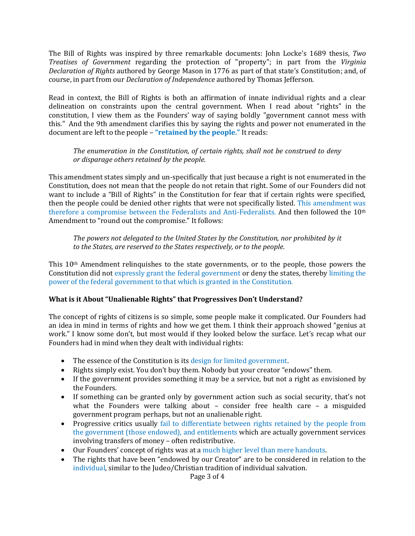The Bill of Rights was inspired by three remarkable documents: John Locke's 1689 thesis, *Two Treatises of Government* regarding the protection of "property"; in part from the *Virginia Declaration of Rights* authored by George Mason in 1776 as part of that state's Constitution; and, of course, in part from our *Declaration of Independence* authored by Thomas Jefferson.

Read in context, the Bill of Rights is both an affirmation of innate individual rights and a clear delineation on constraints upon the central government. When I read about "rights" in the constitution, I view them as the Founders' way of saying boldly "government cannot mess with this." And the 9th amendment clarifies this by saying the rights and power not enumerated in the document are left to the people – **"retained by the people."** It reads:

*The enumeration in the Constitution, of certain rights, shall not be construed to deny or disparage others retained by the people.*

This amendment states simply and un-specifically that just because a right is not enumerated in the Constitution, does not mean that the people do not retain that right. Some of our Founders did not want to include a "Bill of Rights" in the Constitution for fear that if certain rights were specified, then the people could be denied other rights that were not specifically listed. This amendment was therefore a compromise between the Federalists and Anti-Federalists. And then followed the 10<sup>th</sup> Amendment to "round out the compromise." It follows:

*The powers not delegated to the United States by the Constitution, nor prohibited by it to the States, are reserved to the States respectively, or to the people.*

This 10th Amendment relinquishes to the state governments, or to the people, those powers the Constitution did not expressly grant the federal government or deny the states, thereby limiting the power of the federal government to that which is granted in the Constitution.

#### **What is it About "Unalienable Rights" that Progressives Don't Understand?**

The concept of rights of citizens is so simple, some people make it complicated. Our Founders had an idea in mind in terms of rights and how we get them. I think their approach showed "genius at work." I know some don't, but most would if they looked below the surface. Let's recap what our Founders had in mind when they dealt with individual rights:

- The essence of the Constitution is its design for limited government.
- Rights simply exist. You don't buy them. Nobody but your creator "endows" them.
- If the government provides something it may be a service, but not a right as envisioned by the Founders.
- If something can be granted only by government action such as social security, that's not what the Founders were talking about – consider free health care – a misguided government program perhaps, but not an unalienable right.
- Progressive critics usually fail to differentiate between rights retained by the people from the government (those endowed), and entitlements which are actually government services involving transfers of money – often redistributive.
- Our Founders' concept of rights was at a much higher level than mere handouts.
- The rights that have been "endowed by our Creator" are to be considered in relation to the individual, similar to the Judeo/Christian tradition of individual salvation.